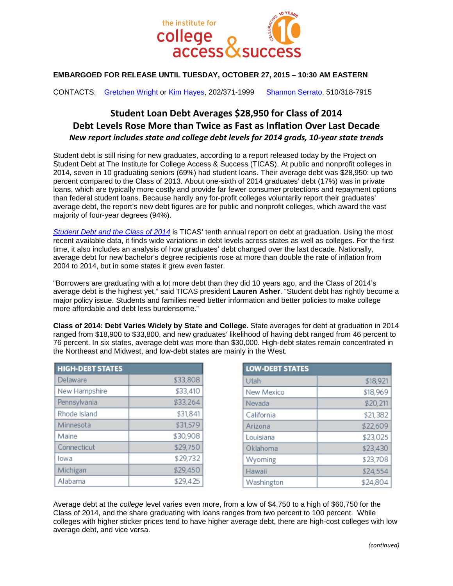

## **EMBARGOED FOR RELEASE UNTIL TUESDAY, OCTOBER 27, 2015 – 10:30 AM EASTERN**

CONTACTS: [Gretchen Wright](mailto:gretchen@prsolutionsdc.com) or [Kim](mailto:bswindell@ticas.org) [Hayes,](mailto:kim@prsolutionsdc.com) 202/371-1999 [Shannon Serrato,](mailto:sserrato@ticas.org) 510/318-7915

## **Student Loan Debt Averages \$28,950 for Class of 2014 Debt Levels Rose More than Twice as Fast as Inflation Over Last Decade** *New report includes state and college debt levels for 2014 grads, 10-year state trends*

Student debt is still rising for new graduates, according to a report released today by the Project on Student Debt at The Institute for College Access & Success (TICAS). At public and nonprofit colleges in 2014, seven in 10 graduating seniors (69%) had student loans. Their average debt was \$28,950: up two percent compared to the Class of 2013. About one-sixth of 2014 graduates' debt (17%) was in private loans, which are typically more costly and provide far fewer consumer protections and repayment options than federal student loans. Because hardly any for-profit colleges voluntarily report their graduates' average debt, the report's new debt figures are for public and nonprofit colleges, which award the vast majority of four-year degrees (94%).

*[Student Debt and the Class of 2014](http://ticas.org/sites/default/files/pub_files/classof2014_embargoed_1.pdf)* is TICAS' tenth annual report on debt at graduation. Using the most recent available data, it finds wide variations in debt levels across states as well as colleges. For the first time, it also includes an analysis of how graduates' debt changed over the last decade. Nationally, average debt for new bachelor's degree recipients rose at more than double the rate of inflation from 2004 to 2014, but in some states it grew even faster.

"Borrowers are graduating with a lot more debt than they did 10 years ago, and the Class of 2014's average debt is the highest yet," said TICAS president **Lauren Asher**. "Student debt has rightly become a major policy issue. Students and families need better information and better policies to make college more affordable and debt less burdensome."

**Class of 2014: Debt Varies Widely by State and College.** State averages for debt at graduation in 2014 ranged from \$18,900 to \$33,800, and new graduates' likelihood of having debt ranged from 46 percent to 76 percent. In six states, average debt was more than \$30,000. High-debt states remain concentrated in the Northeast and Midwest, and low-debt states are mainly in the West.

| <b>HIGH-DEBT STATES</b> |          |
|-------------------------|----------|
| Delaware                | \$33,808 |
| New Hampshire           | \$33,410 |
| Pennsylvania            | \$33,264 |
| Rhode Island            | \$31,841 |
| Minnesota               | \$31,579 |
| Maine                   | \$30,908 |
| Connecticut             | \$29,750 |
| lowa                    | \$29,732 |
| Michigan                | \$29,450 |
| Alabama                 | \$29,425 |

| <b>LOW-DEBT STATES</b> |          |
|------------------------|----------|
| Utah                   | \$18,921 |
| New Mexico             | \$18,969 |
| Nevada                 | \$20,211 |
| California             | \$21,382 |
| Arizona                | \$22,609 |
| Louisiana              | \$23,025 |
| Oklahoma               | \$23,430 |
| Wyoming                | \$23,708 |
| Hawaii                 | \$24,554 |
| Washington             | \$24,804 |

Average debt at the *college* level varies even more, from a low of \$4,750 to a high of \$60,750 for the Class of 2014, and the share graduating with loans ranges from two percent to 100 percent. While colleges with higher sticker prices tend to have higher average debt, there are high-cost colleges with low average debt, and vice versa.